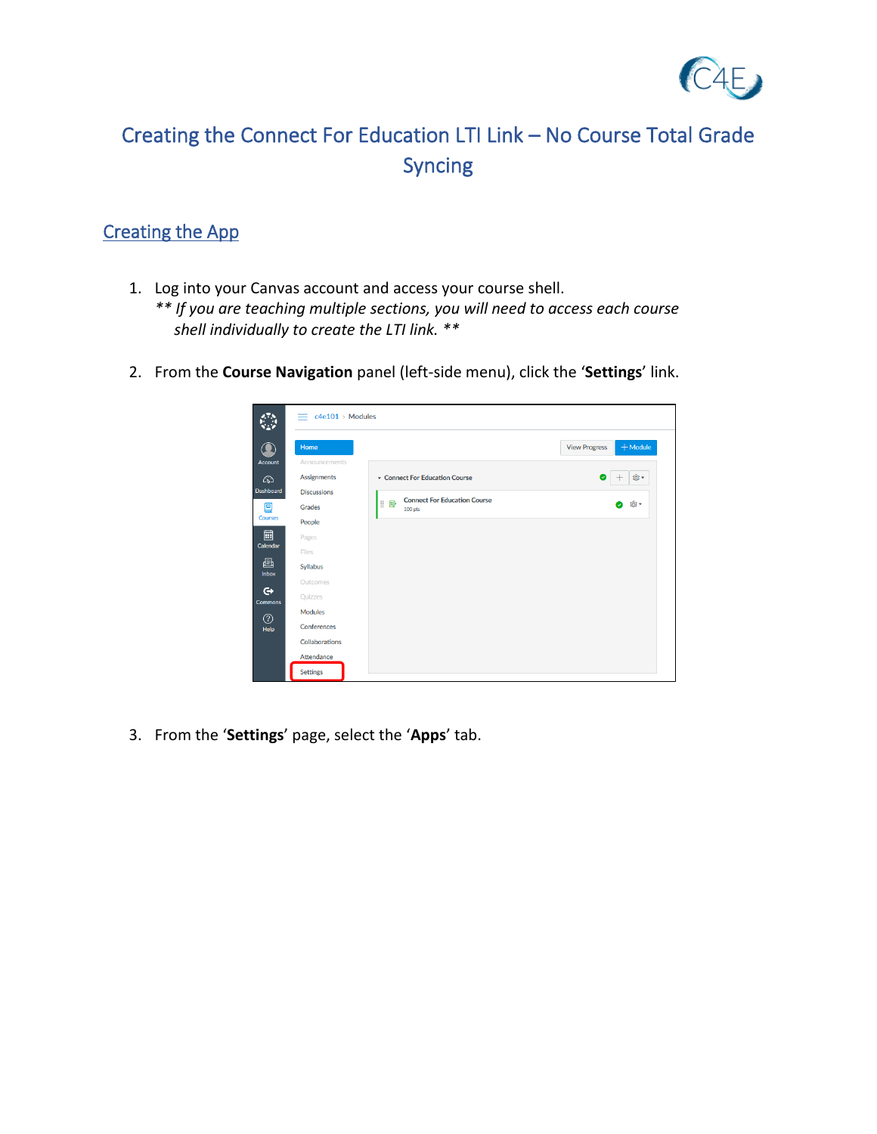

## Creating the Connect For Education LTI Link – No Course Total Grade Syncing

## Creating the App

- 1. Log into your Canvas account and access your course shell.
	- *\*\* If you are teaching multiple sections, you will need to access each course shell individually to create the LTI link. \*\**
- 2. From the **Course Navigation** panel (left-side menu), click the '**Settings**' link.



3. From the '**Settings**' page, select the '**Apps**' tab.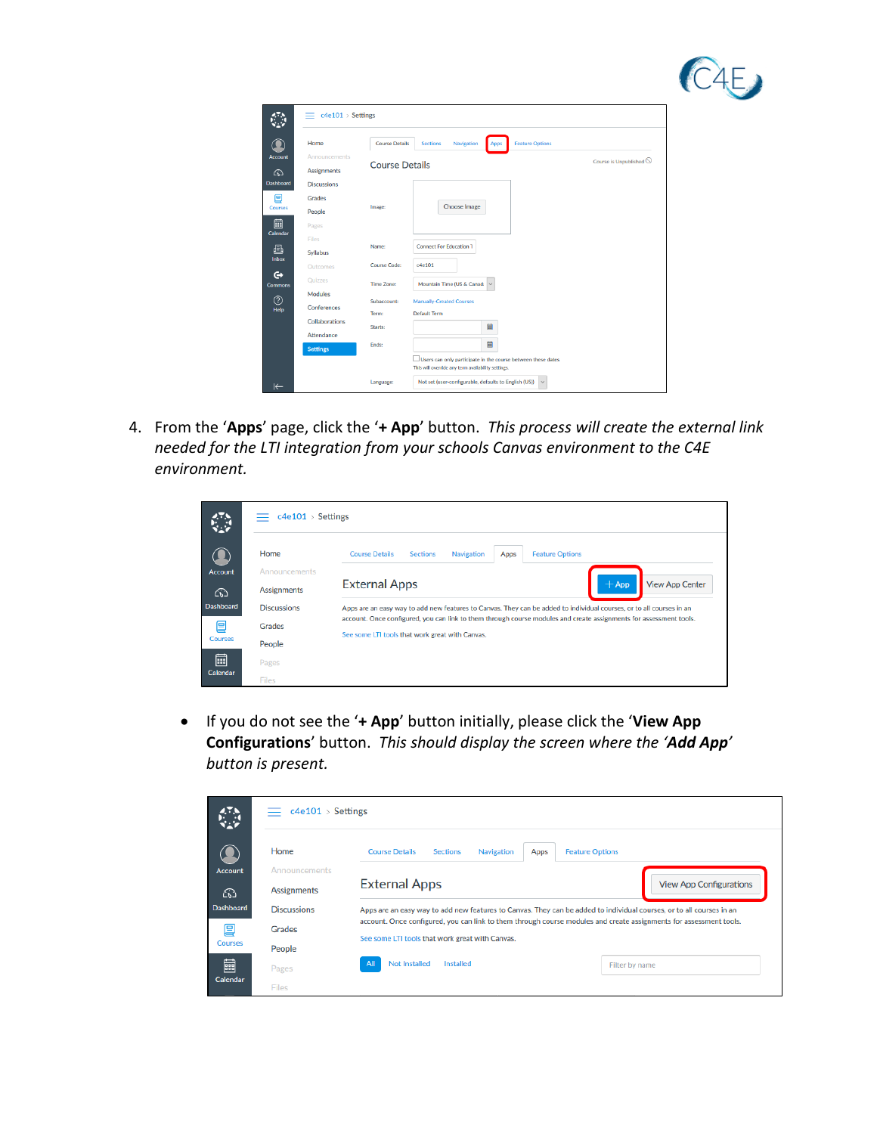

| Home                                | <b>Course Details</b> | <b>Feature Options</b><br><b>Sections</b><br>Navigation<br>Apps |  |
|-------------------------------------|-----------------------|-----------------------------------------------------------------|--|
| Announcements<br><b>Assignments</b> | <b>Course Details</b> | Course is Unpublished $\odot$                                   |  |
| <b>Discussions</b>                  |                       |                                                                 |  |
| Grades                              |                       |                                                                 |  |
| People                              | Image:                | <b>Choose Image</b>                                             |  |
| Pages                               |                       |                                                                 |  |
| <b>Files</b>                        | Name:                 | <b>Connect For Education 1</b>                                  |  |
| Syllabus                            |                       |                                                                 |  |
| Outcomes                            | Course Code:          | c4e101                                                          |  |
| Quizzes                             | <b>Time Zone:</b>     | Mountain Time (US & Canad:<br>$\checkmark$                      |  |
| Modules                             | Subaccount:           | <b>Manually-Created Courses</b>                                 |  |
| Conferences                         | Term:                 | <b>Default Term</b>                                             |  |
| Collaborations                      | Starts:               | 圙                                                               |  |
| Attendance                          |                       |                                                                 |  |
| <b>Settings</b>                     | Ends:                 | 圙                                                               |  |

4. From the '**Apps**' page, click the '**+ App**' button. *This process will create the external link needed for the LTI integration from your schools Canvas environment to the C4E environment.*

|                      | c4e101 > Settings  |                                                                                                                      |  |  |  |  |  |
|----------------------|--------------------|----------------------------------------------------------------------------------------------------------------------|--|--|--|--|--|
|                      | Home               | <b>Feature Options</b><br><b>Course Details</b><br><b>Sections</b><br><b>Navigation</b><br>Apps                      |  |  |  |  |  |
| <b>Account</b>       | Announcements      |                                                                                                                      |  |  |  |  |  |
| ⋒                    | <b>Assignments</b> | <b>External Apps</b><br>$+$ App<br><b>View App Center</b>                                                            |  |  |  |  |  |
| <b>Dashboard</b>     | <b>Discussions</b> | Apps are an easy way to add new features to Canvas. They can be added to individual courses, or to all courses in an |  |  |  |  |  |
| 冝                    | Grades             | account. Once configured, you can link to them through course modules and create assignments for assessment tools.   |  |  |  |  |  |
| <b>Courses</b>       | People             | See some LTI tools that work great with Canvas.                                                                      |  |  |  |  |  |
| 圙<br><b>Calendar</b> | Pages              |                                                                                                                      |  |  |  |  |  |
|                      | <b>Files</b>       |                                                                                                                      |  |  |  |  |  |

• If you do not see the '**+ App**' button initially, please click the '**View App Configurations**' button. *This should display the screen where the 'Add App' button is present.*

|                  | c4e101 > Settings<br>ᆖ |                                                                                                                      |
|------------------|------------------------|----------------------------------------------------------------------------------------------------------------------|
|                  | Home                   | <b>Course Details</b><br><b>Sections</b><br><b>Feature Options</b><br>Apps<br>Navigation                             |
| <b>Account</b>   | Announcements          |                                                                                                                      |
| ⋒                | <b>Assignments</b>     | <b>External Apps</b><br><b>View App Configurations</b>                                                               |
| <b>Dashboard</b> | <b>Discussions</b>     | Apps are an easy way to add new features to Canvas. They can be added to individual courses, or to all courses in an |
| 囯                | Grades                 | account. Once configured, you can link to them through course modules and create assignments for assessment tools.   |
| <b>Courses</b>   | People                 | See some LTI tools that work great with Canvas.                                                                      |
| 闒                | Pages                  | <b>Not Installed</b><br><b>Installed</b><br>All<br>Filter by name                                                    |
| Calendar         | Files                  |                                                                                                                      |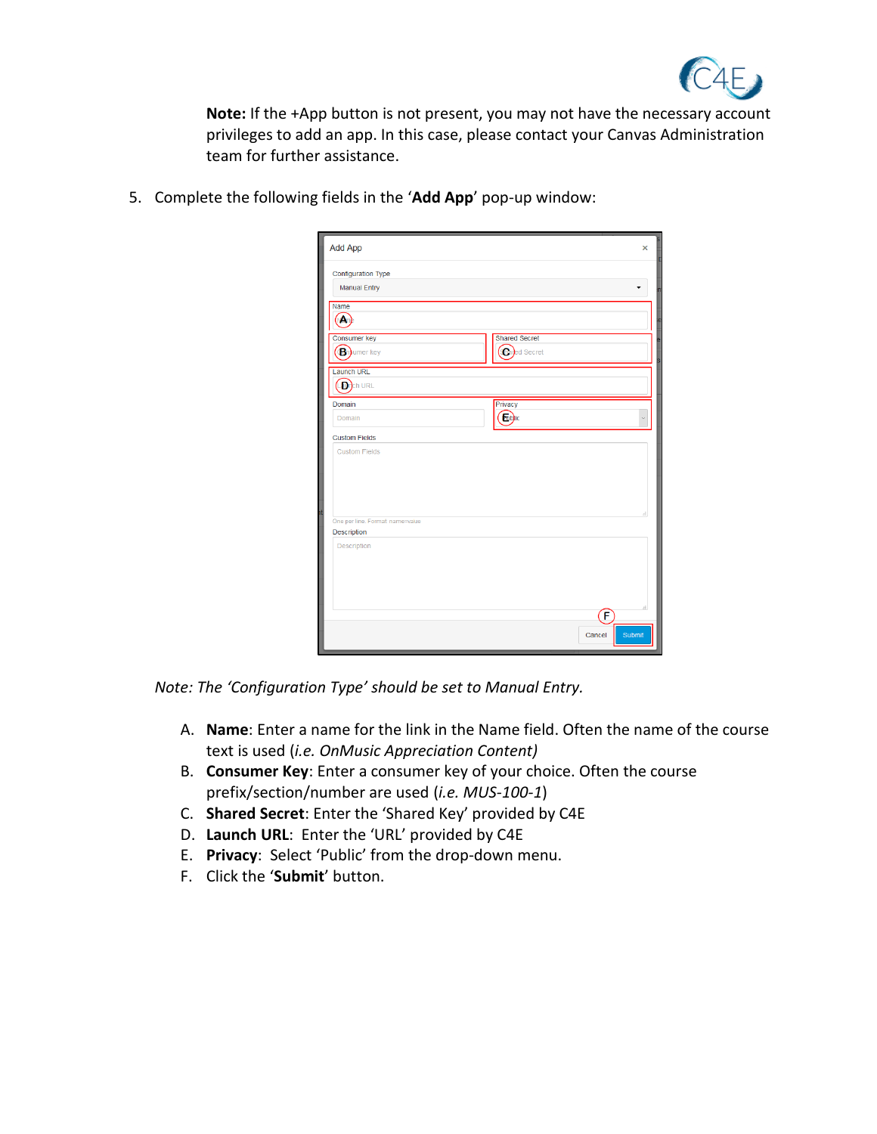

**Note:** If the +App button is not present, you may not have the necessary account privileges to add an app. In this case, please contact your Canvas Administration team for further assistance.

5. Complete the following fields in the '**Add App**' pop-up window:

| Add App                         |                      | $\mathbf x$      |
|---------------------------------|----------------------|------------------|
| <b>Configuration Type</b>       |                      |                  |
| <b>Manual Entry</b>             |                      |                  |
| Name                            |                      |                  |
| M                               |                      |                  |
| <b>Consumer key</b>             | <b>Shared Secret</b> |                  |
| <b>B</b> numer key              | <b>Cared Secret</b>  |                  |
|                                 |                      |                  |
| Launch URL                      |                      |                  |
| LD <sub>rch URL</sub>           |                      |                  |
| Domain                          | Privacy              |                  |
| Domain                          | Eublic               | Ü                |
| <b>Custom Fields</b>            |                      |                  |
| <b>Custom Fields</b>            |                      |                  |
|                                 |                      |                  |
|                                 |                      |                  |
|                                 |                      |                  |
|                                 |                      | d.               |
| One per line. Format name=value |                      |                  |
| Description                     |                      |                  |
| Description                     |                      |                  |
|                                 |                      |                  |
|                                 |                      |                  |
|                                 |                      |                  |
|                                 |                      | ñ<br>Œ           |
|                                 |                      |                  |
|                                 |                      | Submit<br>Cancel |

*Note: The 'Configuration Type' should be set to Manual Entry.*

- A. **Name**: Enter a name for the link in the Name field. Often the name of the course text is used (*i.e. OnMusic Appreciation Content)*
- B. **Consumer Key**: Enter a consumer key of your choice. Often the course prefix/section/number are used (*i.e. MUS-100-1*)
- C. **Shared Secret**: Enter the 'Shared Key' provided by C4E
- D. **Launch URL**: Enter the 'URL' provided by C4E
- E. **Privacy**: Select 'Public' from the drop-down menu.
- F. Click the '**Submit**' button.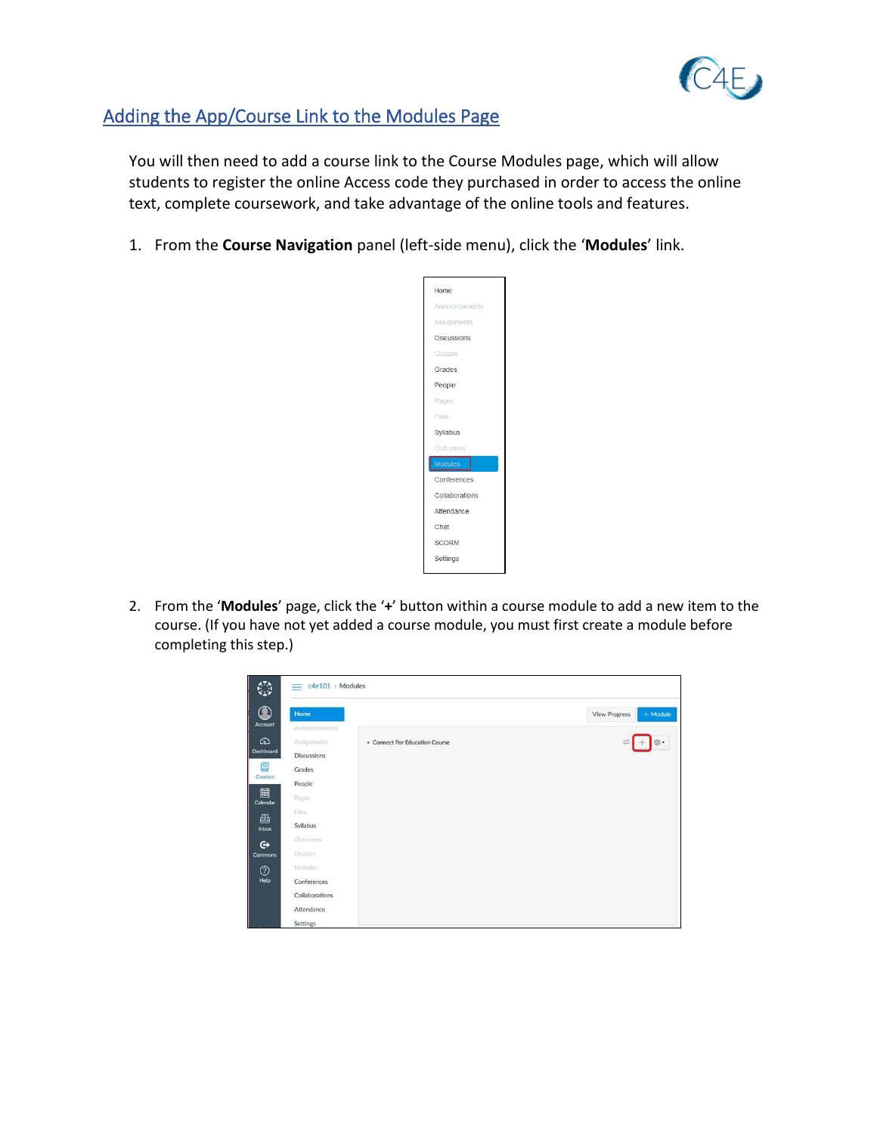

## Adding the App/Course Link to the Modules Page

You will then need to add a course link to the Course Modules page, which will allow students to register the online Access code they purchased in order to access the online text, complete coursework, and take advantage of the online tools and features.

1. From the **Course Navigation** panel (left-side menu), click the '**Modules**' link.



2. From the '**Modules**' page, click the '**+**' button within a course module to add a new item to the course. (If you have not yet added a course module, you must first create a module before completing this step.)